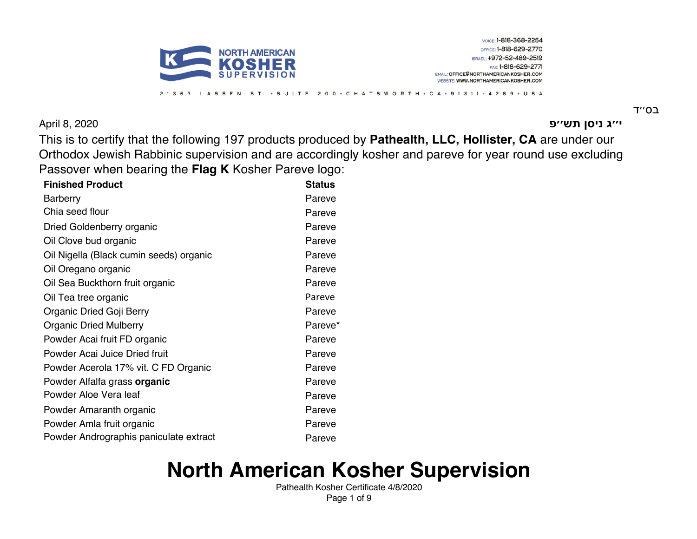

**ג׳׳י ןסינ שת פ׳׳** 2020 8, April

בס״ד

VOICE: 1-818-368-2254 OFFICE: 1-818-629-2770

ISRAEL: +972-52-489-2519 FAX: 1-818-629-2771

EMAIL: OFFICE@NORTHAMERICANKOSHER.COM WEBSITE: WWW.NORTHAMERICANKOSHER.COM

This is to certify that the following 197 products produced by **Pathealth, LLC, Hollister, CA** are under our Orthodox Jewish Rabbinic supervision and are accordingly kosher and pareve for year round use excluding Passover when bearing the **Flag K** Kosher Pareve logo:

LASSEN ST. • SUITE 200 • CHATSWORTH • CA • 91311 - 4289 • USA

| <b>Finished Product</b>                 | <b>Status</b> |
|-----------------------------------------|---------------|
| <b>Barberry</b>                         | Pareve        |
| Chia seed flour                         | Pareve        |
| Dried Goldenberry organic               | Pareve        |
| Oil Clove bud organic                   | Pareve        |
| Oil Nigella (Black cumin seeds) organic | Pareve        |
| Oil Oregano organic                     | Pareve        |
| Oil Sea Buckthorn fruit organic         | Pareve        |
| Oil Tea tree organic                    | Pareve        |
| Organic Dried Goji Berry                | Pareve        |
| <b>Organic Dried Mulberry</b>           | Pareve*       |
| Powder Acai fruit FD organic            | Pareve        |
| Powder Acai Juice Dried fruit           | Pareve        |
| Powder Acerola 17% vit. C FD Organic    | Pareve        |
| Powder Alfalfa grass organic            | Pareve        |
| Powder Aloe Vera leaf                   | Pareve        |
| Powder Amaranth organic                 | Pareve        |
| Powder Amla fruit organic               | Pareve        |
| Powder Andrographis paniculate extract  | Pareve        |
|                                         |               |

2 1 3 6 3

# **North American Kosher Supervision**

Pathealth Kosher Certificate 4/8/2020 Page 1 of 9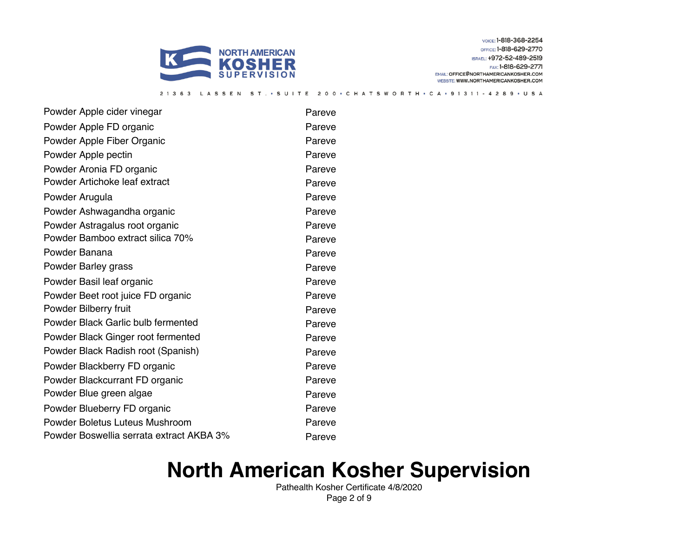

SSEN ST. . SUITE

VOICE: 1-818-368-2254 OFFICE: 1-818-629-2770 ISRAEL: +972-52-489-2519 FAX: 1-818-629-2771

EMAIL: OFFICE@NORTHAMERICANKOSHER.COM WEBSITE: WWW.NORTHAMERICANKOSHER.COM

200 · CHATSWORTH · CA · 91311 - 4289 · USA

Powder Apple cider vinegar **Pareve** Powder Apple FD organic **Pareve** Pareve Powder Apple Fiber Organic **Parevelle Filter Contains a Parevelle Parevelle Pareve** Powder Apple pectin **Pareve** Powder Aronia FD organic **Pareve** Pareve Powder Artichoke leaf extract extract Pareve Powder Arugula **Powder Arugula** Pareve Powder Ashwagandha organic **Pareve** Pareve Powder Astragalus root organic **Pareve** Pareve Powder Bamboo extract silica 70% Pareve Powder Banana **Pareve Banana** Pareve Banana Pareve Powder Barley grass **Parevelle Structure Parevelle Structure Parevelle Parevelle Parevelle Parevelle Parevelle** Powder Basil leaf organic **Pareve** Pareve Powder Beet root juice FD organic **Pareve** Pareve Powder Bilberry fruit **Pareve** Pareve Powder Black Garlic bulb fermented Pareve Powder Black Ginger root fermented Pareve Powder Black Radish root (Spanish) Pareve Powder Blackberry FD organic **Pareve** Pareve Powder Blackcurrant FD organic **Pareve** Pareve Powder Blue green algae **Pareve** Pareve Powder Blueberry FD organic **Pareve** Pareve Powder Boletus Luteus Mushroom Pareve Powder Boswellia serrata extract AKBA 3% Pareve

2 1 3 6 3

### **North American Kosher Supervision**

Pathealth Kosher Certificate 4/8/2020 Page 2 of 9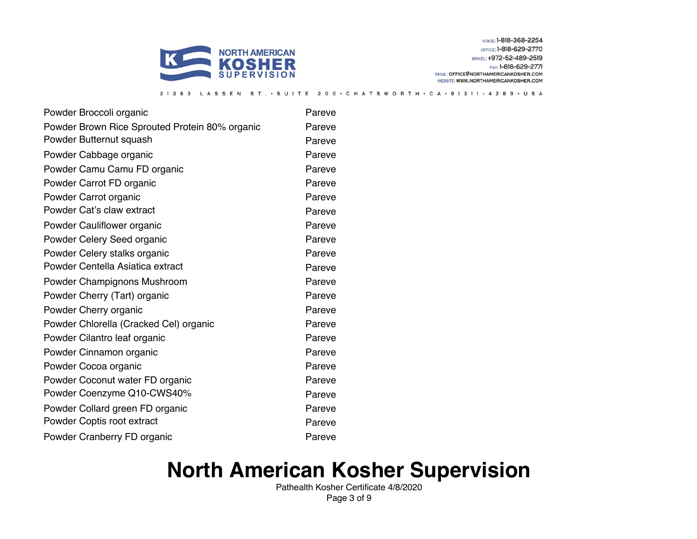

SUITE

VOICE: 1-818-368-2254 OFFICE: 1-818-629-2770 ISRAEL: +972-52-489-2519 FAX: 1-818-629-2771

EMAIL: OFFICE@NORTHAMERICANKOSHER.COM WEBSITE: WWW.NORTHAMERICANKOSHER.COM

200 · CHATSWORTH · CA · 91311 - 4289 · USA

Powder Broccoli organic **Pareve** Pareve Powder Brown Rice Sprouted Protein 80% organic Pareve Powder Butternut squash **Pareve** Powder Cabbage organic **Parevelle Structure Parevelle Parevelle Parevelle Parevelle Parevelle Parevelle Parevelle Parevelle Parevelle Parevelle Parevelle Parevelle Parevelle Parevelle Parevelle Parevelle Parevelle Parevell** Powder Camu Camu FD organic **Pareve** Pareve Powder Carrot FD organic **Pareve** Pareve Powder Carrot organic **Parevelle Structure Parevelle According Parevelle Parevelle Parevelle Parevelle Parevelle** Powder Cat's claw extract example of the Pareve Powder Cauliflower organic **Pareve** Pareve Powder Celery Seed organic **Pareve** Pareve Powder Celery stalks organic **Pareve** Pareve Powder Centella Asiatica extract **Pareve** Powder Champignons Mushroom **Pareve** Powder Cherry (Tart) organic **Pareve** Pareve Powder Cherry organic **Parevelle Cherry of Access** Pareve Powder Chlorella (Cracked Cel) organic Pareve Powder Cilantro leaf organic **Pareve** Pareve Powder Cinnamon organic **Pareve** Pareve Powder Cocoa organic **Pareve** Pareve Powder Coconut water FD organic **Pareve** Pareve Powder Coenzyme Q10-CWS40% Pareve Powder Collard green FD organic **Pareve** Pareve Powder Coptis root extract Pareve Powder Cranberry FD organic **Pareve** Pareve

### **North American Kosher Supervision**

Pathealth Kosher Certificate 4/8/2020 Page 3 of 9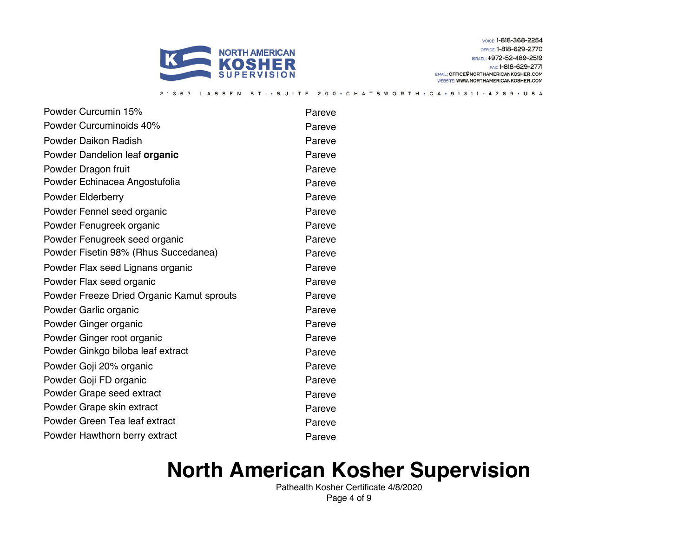

SSEN

ST. · SUITE

2 1 3 6 3

VOICE: 1-818-368-2254 OFFICE: 1-818-629-2770 ISRAEL: +972-52-489-2519 FAX: 1-818-629-2771

EMAIL: OFFICE@NORTHAMERICANKOSHER.COM WEBSITE: WWW.NORTHAMERICANKOSHER.COM

200 • C H A T S W O R T H • C A • 9 1 3 1 1 - 4 2 8 9 • U S A

Powder Curcumin 15% Powder Curcumin 15% Powder Curcuminoids 40% Powder Curcuminoids 40% Powder Daikon Radish Pareve Powder Dandelion leaf **organic Pareve Pareve** Powder Dragon fruit **Parevelle Struck and America** Pareve Powder Echinacea Angostufolia **Pareve** Pareve Powder Elderberry **Pareve** Powder Fennel seed organic **Pareve** Pareve Powder Fenugreek organic **Pareve** Pareve Powder Fenugreek seed organic **Parevellers** Pareve Powder Fisetin 98% (Rhus Succedanea) Pareve Powder Flax seed Lignans organic **Pareve** Pareve Powder Flax seed organic **Pareve** Pareve Powder Freeze Dried Organic Kamut sproutsPareve Powder Garlic organic **Parevelle Structure Parevelle According Parevelle Parevelle Parevelle Parevelle Parevelle** Powder Ginger organic **Parevelle Structure Parevelle According Parevelle Parevelle Parevelle Parevelle Parevelle** Powder Ginger root organic **Pareve** Pareve Powder Ginkgo biloba leaf extract Pareve Powder Goji 20% organic **Pareve** Pareve Powder Goji FD organic **Pareve** Pareve Powder Grape seed extract **Pareve** Powder Grape skin extract Pareve Powder Green Tea leaf extract Pareve Powder Hawthorn berry extract example of the Pareve

#### **North American Kosher Supervision**

Pathealth Kosher Certificate 4/8/2020 Page 4 of 9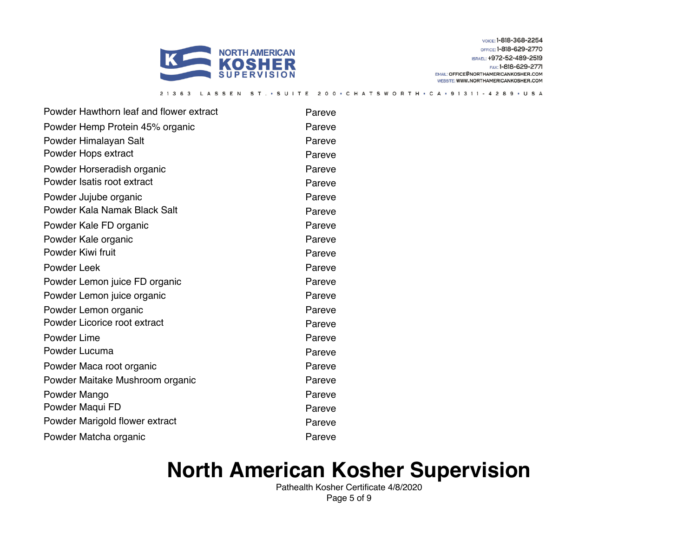

VOICE: 1-818-368-2254 OFFICE: 1-818-629-2770 ISRAEL: +972-52-489-2519 FAX: 1-818-629-2771

EMAIL: OFFICE@NORTHAMERICANKOSHER.COM WEBSITE: WWW.NORTHAMERICANKOSHER.COM

Powder Hawthorn leaf and flower extract Pareve Powder Hemp Protein 45% organic Pareve Powder Himalayan Salt **Pareve** Pareve Powder Hops extract **Pareve** Powder Horseradish organic **Pareve** Pareve Powder Isatis root extract **Pareve** Powder Jujube organic **Parevelle Structure Parevelle According Parevelle Parevelle Parevelle Parevelle Parevelle** Powder Kala Namak Black Salt **Pareve** Powder Kale FD organic **Pareve** Pareve Powder Kale organic **Parevelle Structure Parevelle According Parevelle Parevelle Parevelle Parevelle Parevelle** Powder Kiwi fruit **Pareve** Powder Leek **Pareve** Powder Lemon juice FD organic **Pareve** Pareve Powder Lemon juice organic **Pareve** Pareve Powder Lemon organic **Pareve** Pareve Powder Licorice root extract extract Pareve Powder Lime **Pareve** Powder Lucuma **Powder Lucuma** Pareve Powder Maca root organic **Pareve** Pareve Powder Maitake Mushroom organic **Pareve** Pareve Powder Mango **Pareve** Pareve Powder Maqui FD Pareve Powder Marigold flower extract Pareve Powder Matcha organic **Pareve** Pareve

2 1 3 6 3

### **North American Kosher Supervision**

LASSEN ST. • SUITE 200 • CHATSWORTH • CA • 91311 - 4289 • USA

Pathealth Kosher Certificate 4/8/2020 Page 5 of 9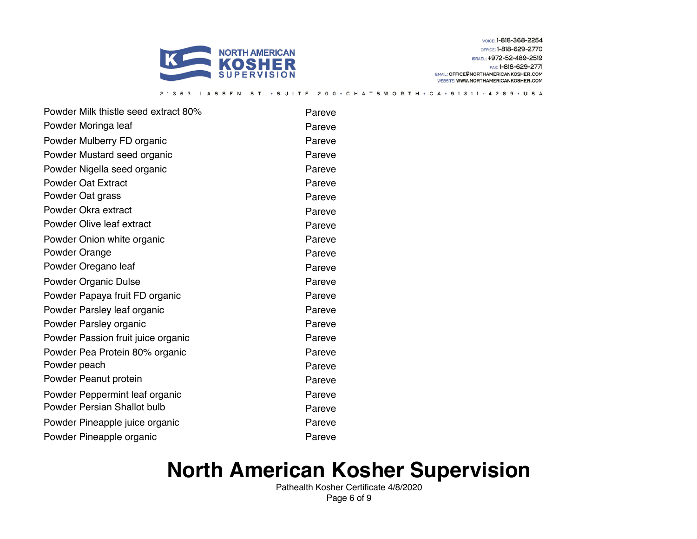

ASSEN

 $ST.$   $\cdot$   $S$   $U$   $\vert$   $T$   $E$ 

VOICE: 1-818-368-2254 OFFICE: 1-818-629-2770 ISRAEL: +972-52-489-2519 FAX: 1-818-629-2771

EMAIL: OFFICE@NORTHAMERICANKOSHER.COM WEBSITE: WWW.NORTHAMERICANKOSHER.COM

200 · CHATSWORTH · CA · 91311 - 4289 · USA

Powder Milk thistle seed extract 80% Pareve Powder Moringa leaf extensive parameters and pareve Powder Mulberry FD organic **Pareve** Pareve Powder Mustard seed organic **Pareve** Pareve Powder Nigella seed organic example of the Pareve Powder Oat Extract **Pareve Pareve** Powder Oat grass **Parevelle Structure Parevelle Structure Parevelle Parevelle Parevelle** Powder Okra extract **Pareve** Powder Olive leaf extract Pareve Powder Onion white organic **Parevelle Contains a Parevelle Contains a Parevelle Parevelle Parevelle Parevelle Parevelle Parevelle Parevelle Parevelle Parevelle Parevelle Parevelle Parevelle Parevelle Parevelle Parevelle Pa** Powder Orange **Parameters** Pareve Powder Oregano leaf **Pareve** Powder Organic Dulse **Pareve Pareve** Powder Papaya fruit FD organic **Pareve** Pareve Powder Parsley leaf organic **Pareve** Pareve Powder Parsley organic **Parevelle Structure Parevelle Parevelle** Powder Passion fruit juice organic **Pareve** Pareve Powder Pea Protein 80% organic **Pareve** Pareve Powder peach **Parevelle** Parevelle Parevelle Parevelle Parevelle Parevelle Parevelle Parevelle Parevelle Parevelle Powder Peanut protein **Parameter Controller Parameter** Pareve Powder Peppermint leaf organic **Pareve** Pareve Powder Persian Shallot bulb **Pareve** Powder Pineapple juice organic **Pareve** Pareve Powder Pineapple organic **Parevelle Access Pareve** 

 $213$ 

### **North American Kosher Supervision**

Pathealth Kosher Certificate 4/8/2020 Page 6 of 9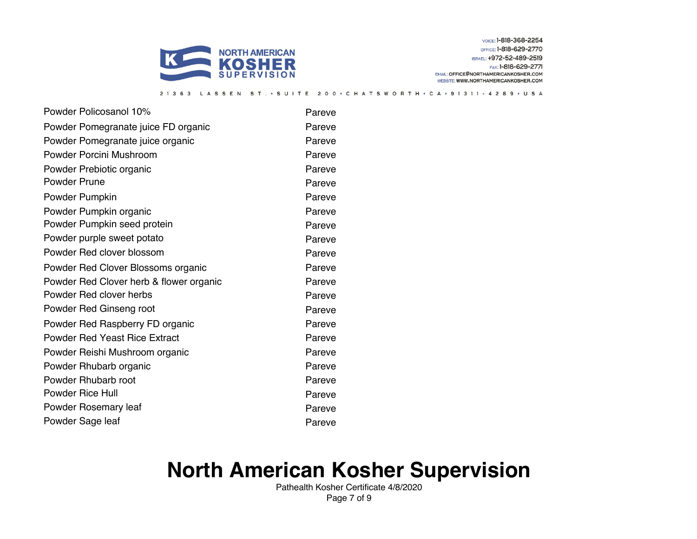

SSEN

ST. · SUITE

VOICE: 1-818-368-2254 OFFICE: 1-818-629-2770 ISRAEL: +972-52-489-2519 FAX: 1-818-629-2771

EMAIL: OFFICE@NORTHAMERICANKOSHER.COM WEBSITE: WWW.NORTHAMERICANKOSHER.COM

200 • C H A T S W O R T H • C A • 9 1 3 1 1 - 4 2 8 9 • U S A

Powder Policosanol 10% Powder Pareve Powder Pomegranate juice FD organic **Pareve** Pareve Powder Pomegranate juice organic **Pareve** Pareve Powder Porcini Mushroom **Pareve** Powder Prebiotic organic **Pareve** Pareve Powder Prune **Parevelle Community** Parevelle Parevelle Parevelle Parevelle Parevelle Powder Pumpkin **Pareve** Powder Pumpkin organic **Pareve** Pareve Powder Pumpkin seed protein **Pareve** Powder purple sweet potato **Parevelle Solution** Pareve Powder Red clover blossom **Parameter** Pareve Powder Red Clover Blossoms organic **Pareve** Pareve Powder Red Clover herb & flower organic Pareve Powder Red clover herbs Pareve Powder Red Ginseng root Pareve Powder Red Raspberry FD organic **Pareve** Pareve Powder Red Yeast Rice ExtractPareve Powder Reishi Mushroom organic **Pareve** Pareve Powder Rhubarb organic **Parevelle Reserve** Pareve Powder Rhubarb root Pareve Powder Rice Hull **Pareve** Powder Rosemary leaf **Pareve** Powder Sage leaf **Parevelled** Pareve

 $2 \t1 \t3$ 

### **North American Kosher Supervision**

Pathealth Kosher Certificate 4/8/2020 Page 7 of 9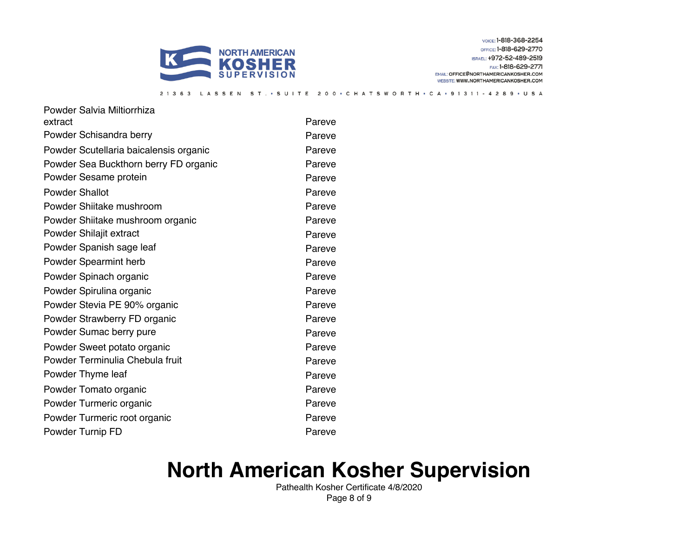

VOICE: 1-818-368-2254 OFFICE: 1-818-629-2770 ISRAEL: +972-52-489-2519 FAX: 1-818-629-2771

EMAIL: OFFICE@NORTHAMERICANKOSHER.COM WEBSITE: WWW.NORTHAMERICANKOSHER.COM

21363 LASSEN ST. · SUITE 200 · CHATSWORTH · CA · 91311 - 4289 · USA

| Powder Salvia Miltiorrhiza             |        |
|----------------------------------------|--------|
| extract                                | Pareve |
| Powder Schisandra berry                | Pareve |
| Powder Scutellaria baicalensis organic | Pareve |
| Powder Sea Buckthorn berry FD organic  | Pareve |
| Powder Sesame protein                  | Pareve |
| <b>Powder Shallot</b>                  | Pareve |
| Powder Shiitake mushroom               | Pareve |
| Powder Shiitake mushroom organic       | Pareve |
| Powder Shilajit extract                | Pareve |
| Powder Spanish sage leaf               | Pareve |
| Powder Spearmint herb                  | Pareve |
| Powder Spinach organic                 | Pareve |
| Powder Spirulina organic               | Pareve |
| Powder Stevia PE 90% organic           | Pareve |
| Powder Strawberry FD organic           | Pareve |
| Powder Sumac berry pure                | Pareve |
| Powder Sweet potato organic            | Pareve |
| Powder Terminulia Chebula fruit        | Pareve |
| Powder Thyme leaf                      | Pareve |
| Powder Tomato organic                  | Pareve |
| Powder Turmeric organic                | Pareve |
| Powder Turmeric root organic           | Pareve |
| Powder Turnip FD                       | Pareve |

### **North American Kosher Supervision**

Pathealth Kosher Certificate 4/8/2020 Page 8 of 9